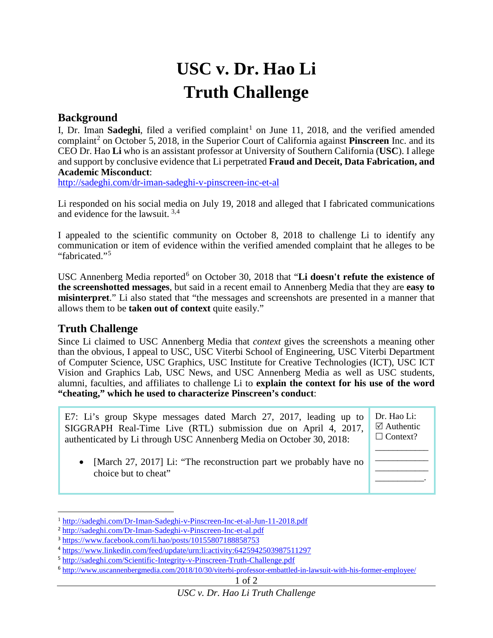## **USC v. Dr. Hao Li Truth Challenge**

## **Background**

I, Dr. Iman **Sadeghi**, filed a verified complaint<sup>[1](#page-0-0)</sup> on June 11, 2018, and the verified amended complaint<sup>[2](#page-0-1)</sup> on October 5, 2018, in the Superior Court of California against **Pinscreen** Inc. and its CEO Dr. Hao **Li** who is an assistant professor at University of Southern California (**USC**). I allege and support by conclusive evidence that Li perpetrated **Fraud and Deceit, Data Fabrication, and Academic Misconduct**:

<http://sadeghi.com/dr-iman-sadeghi-v-pinscreen-inc-et-al>

Li responded on his social media on July 19, 2018 and alleged that I fabricated communications and evidence for the lawsuit. [3,](#page-0-2)[4](#page-0-3)

I appealed to the scientific community on October 8, 2018 to challenge Li to identify any communication or item of evidence within the verified amended complaint that he alleges to be "fabricated."[5](#page-0-4)

USC Annenberg Media reported<sup>[6](#page-0-5)</sup> on October 30, 2018 that "Li doesn't refute the existence of **the screenshotted messages**, but said in a recent email to Annenberg Media that they are **easy to misinterpret**." Li also stated that "the messages and screenshots are presented in a manner that allows them to be **taken out of context** quite easily."

## **Truth Challenge**

 $\overline{a}$ 

Since Li claimed to USC Annenberg Media that *context* gives the screenshots a meaning other than the obvious, I appeal to USC, USC Viterbi School of Engineering, USC Viterbi Department of Computer Science, USC Graphics, USC Institute for Creative Technologies (ICT), USC ICT Vision and Graphics Lab, USC News, and USC Annenberg Media as well as USC students, alumni, faculties, and affiliates to challenge Li to **explain the context for his use of the word "cheating," which he used to characterize Pinscreen's conduct**:

E7: Li's group Skype messages dated March 27, 2017, leading up to SIGGRAPH Real-Time Live (RTL) submission due on April 4, 2017, authenticated by Li through USC Annenberg Media on October 30, 2018: Dr. Hao Li:  $\boxtimes$  Authentic  $\Box$  Context? \_\_\_\_\_\_\_\_\_\_\_\_

• [March 27, 2017] Li: "The reconstruction part we probably have no choice but to cheat"

\_\_\_\_\_\_\_\_\_\_\_\_ \_\_\_\_\_\_\_\_\_\_\_\_ \_\_\_\_\_\_\_\_\_\_\_.

<span id="page-0-0"></span><sup>1</sup> <http://sadeghi.com/Dr-Iman-Sadeghi-v-Pinscreen-Inc-et-al-Jun-11-2018.pdf>

<span id="page-0-1"></span><sup>2</sup> <http://sadeghi.com/Dr-Iman-Sadeghi-v-Pinscreen-Inc-et-al.pdf>

<span id="page-0-2"></span><sup>3</sup> <https://www.facebook.com/li.hao/posts/10155807188858753>

<span id="page-0-3"></span><sup>4</sup> <https://www.linkedin.com/feed/update/urn:li:activity:6425942503987511297>

<span id="page-0-4"></span><sup>5</sup> <http://sadeghi.com/Scientific-Integrity-v-Pinscreen-Truth-Challenge.pdf>

<span id="page-0-5"></span><sup>6</sup> http://www.uscannenbergmedia.com/2018/10/30/viterbi-professor-embattled-in-lawsuit-with-his-former-employee/